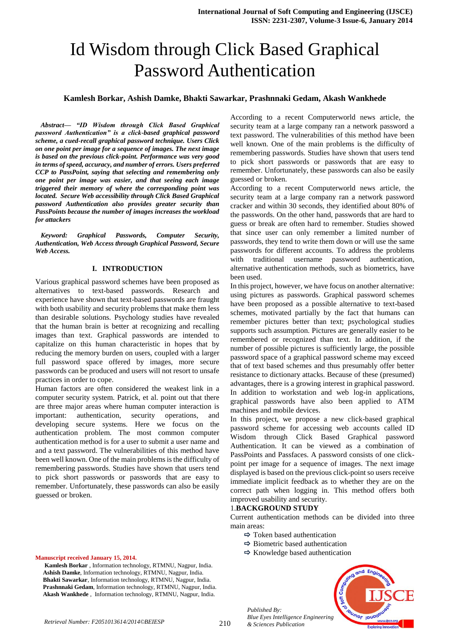# Id Wisdom through Click Based Graphical Password Authentication

## **Kamlesh Borkar, Ashish Damke, Bhakti Sawarkar, Prashnnaki Gedam, Akash Wankhede**

*Abstract— "ID Wisdom through Click Based Graphical password Authentication" is a click-based graphical password scheme, a cued-recall graphical password technique. Users Click on one point per image for a sequence of images. The next image is based on the previous click-point. Performance was very good in terms of speed, accuracy, and number of errors. Users preferred CCP to PassPoint, saying that selecting and remembering only one point per image was easier, and that seeing each image triggered their memory of where the corresponding point was located. Secure Web accessibility through Click Based Graphical password Authentication also provides greater security than PassPoints because the number of images increases the workload for attackers*

*Keyword: Graphical Passwords, Computer Security, Authentication, Web Access through Graphical Password, Secure Web Access.*

# **I. INTRODUCTION**

Various graphical password schemes have been proposed as alternatives to text-based passwords. Research and experience have shown that text-based passwords are fraught with both usability and security problems that make them less than desirable solutions. Psychology studies have revealed that the human brain is better at recognizing and recalling images than text. Graphical passwords are intended to capitalize on this human characteristic in hopes that by reducing the memory burden on users, coupled with a larger full password space offered by images, more secure passwords can be produced and users will not resort to unsafe practices in order to cope.

Human factors are often considered the weakest link in a computer security system. Patrick, et al. point out that there are three major areas where human computer interaction is important: authentication, security operations, and developing secure systems. Here we focus on the authentication problem. The most common computer authentication method is for a user to submit a user name and and a text password. The vulnerabilities of this method have been well known. One of the main problems is the difficulty of remembering passwords. Studies have shown that users tend to pick short passwords or passwords that are easy to remember. Unfortunately, these passwords can also be easily guessed or broken.

**Manuscript received January 15, 2014.**

**Kamlesh Borkar** , Information technology, RTMNU, Nagpur, India. **Ashish Damke**, Information technology, RTMNU, Nagpur, India. **Bhakti Sawarkar**, Information technology, RTMNU, Nagpur, India. **Prashnnaki Gedam**, Information technology, RTMNU, Nagpur, India. **Akash Wankhede** , Information technology, RTMNU, Nagpur, India.

According to a recent Computerworld news article, the security team at a large company ran a network password a text password. The vulnerabilities of this method have been well known. One of the main problems is the difficulty of remembering passwords. Studies have shown that users tend to pick short passwords or passwords that are easy to remember. Unfortunately, these passwords can also be easily guessed or broken.

According to a recent Computerworld news article, the security team at a large company ran a network password cracker and within 30 seconds, they identified about 80% of the passwords. On the other hand, passwords that are hard to guess or break are often hard to remember. Studies showed that since user can only remember a limited number of passwords, they tend to write them down or will use the same passwords for different accounts. To address the problems with traditional username password authentication, alternative authentication methods, such as biometrics, have been used.

In this project, however, we have focus on another alternative: using pictures as passwords. Graphical password schemes have been proposed as a possible alternative to text-based schemes, motivated partially by the fact that humans can remember pictures better than text; psychological studies supports such assumption. Pictures are generally easier to be remembered or recognized than text. In addition, if the number of possible pictures is sufficiently large, the possible password space of a graphical password scheme may exceed that of text based schemes and thus presumably offer better resistance to dictionary attacks. Because of these (presumed) advantages, there is a growing interest in graphical password. In addition to workstation and web log-in applications, graphical passwords have also been applied to ATM machines and mobile devices.

In this project, we propose a new click-based graphical password scheme for accessing web accounts called ID Wisdom through Click Based Graphical password Authentication. It can be viewed as a combination of PassPoints and Passfaces. A password consists of one clickpoint per image for a sequence of images. The next image displayed is based on the previous click-point so users receive immediate implicit feedback as to whether they are on the correct path when logging in. This method offers both improved usability and security.

#### 1.**BACKGROUND STUDY**

Current authentication methods can be divided into three main areas:

- $\Rightarrow$  Token based authentication
- $\Rightarrow$  Biometric based authentication
- $\Rightarrow$  Knowledge based authentication



*Published By: Blue Eyes Intelligence Engineering & Sciences Publication*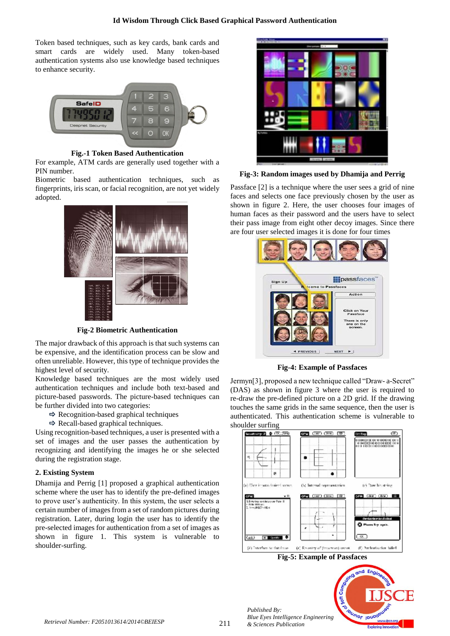Token based techniques, such as key cards, bank cards and smart cards are widely used. Many token-based authentication systems also use knowledge based techniques to enhance security.



# **Fig.-1 Token Based Authentication**

For example, ATM cards are generally used together with a PIN number.

Biometric based authentication techniques, such as fingerprints, iris scan, or facial recognition, are not yet widely adopted.



**Fig-2 Biometric Authentication**

The major drawback of this approach is that such systems can be expensive, and the identification process can be slow and often unreliable. However, this type of technique provides the highest level of security.

Knowledge based techniques are the most widely used authentication techniques and include both text-based and picture-based passwords. The picture-based techniques can be further divided into two categories:

- $\Rightarrow$  Recognition-based graphical techniques
- $\Rightarrow$  Recall-based graphical techniques.

Using recognition-based techniques, a user is presented with a set of images and the user passes the authentication by recognizing and identifying the images he or she selected during the registration stage.

## **2. Existing System**

Dhamija and Perrig [1] proposed a graphical authentication scheme where the user has to identify the pre-defined images to prove user's authenticity. In this system, the user selects a certain number of images from a set of random pictures during registration. Later, during login the user has to identify the pre-selected images for authentication from a set of images as shown in figure 1. This system is vulnerable to shoulder-surfing.



**Fig-3: Random images used by Dhamija and Perrig**

Passface [2] is a technique where the user sees a grid of nine faces and selects one face previously chosen by the user as shown in figure 2. Here, the user chooses four images of human faces as their password and the users have to select their pass image from eight other decoy images. Since there are four user selected images it is done for four times



**Fig-4: Example of Passfaces**

Jermyn[3], proposed a new technique called "Draw- a-Secret" (DAS) as shown in figure 3 where the user is required to re-draw the pre-defined picture on a 2D grid. If the drawing touches the same grids in the same sequence, then the user is authenticated. This authentication scheme is vulnerable to shoulder surfing



**JOURNOT IDU** 

*Published By: Blue Eyes Intelligence Engineering & Sciences Publication*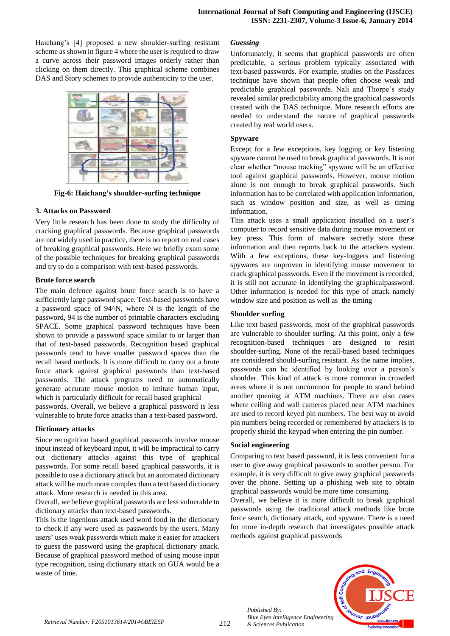Haichang's [4] proposed a new shoulder-surfing resistant scheme as shown in figure 4 where the user is required to draw a curve across their password images orderly rather than clicking on them directly. This graphical scheme combines DAS and Story schemes to provide authenticity to the user.



**Fig-6: Haichang's shoulder-surfing technique**

### **3. Attacks on Password**

Very little research has been done to study the difficulty of cracking graphical passwords. Because graphical passwords are not widely used in practice, there is no report on real cases of breaking graphical passwords. Here we briefly exam some of the possible techniques for breaking graphical passwords and try to do a comparison with text-based passwords.

### **Brute force search**

The main defence against brute force search is to have a sufficiently large password space. Text-based passwords have a password space of 94^N, where N is the length of the password, 94 is the number of printable characters excluding SPACE. Some graphical password techniques have been shown to provide a password space similar to or larger than that of text-based passwords. Recognition based graphical passwords tend to have smaller password spaces than the recall based methods. It is more difficult to carry out a brute force attack against graphical passwords than text-based passwords. The attack programs need to automatically generate accurate mouse motion to imitate human input, which is particularly difficult for recall based graphical

passwords. Overall, we believe a graphical password is less vulnerable to brute force attacks than a text-based password.

#### **Dictionary attacks**

Since recognition based graphical passwords involve mouse input instead of keyboard input, it will be impractical to carry out dictionary attacks against this type of graphical passwords. For some recall based graphical passwords, it is possible to use a dictionary attack but an automated dictionary attack will be much more complex than a text based dictionary attack. More research is needed in this area.

Overall, we believe graphical passwords are less vulnerable to dictionary attacks than text-based passwords.

This is the ingenious attack used word fond in the dictionary to check if any were used as passwords by the users. Many users' uses weak passwords which make it easier for attackers to guess the password using the graphical dictionary attack. Because of graphical password method of using mouse input type recognition, using dictionary attack on GUA would be a waste of time.

## *Guessing*

Unfortunately, it seems that graphical passwords are often predictable, a serious problem typically associated with text-based passwords. For example, studies on the Passfaces technique have shown that people often choose weak and predictable graphical passwords. Nali and Thorpe's study revealed similar predictability among the graphical passwords created with the DAS technique. More research efforts are needed to understand the nature of graphical passwords created by real world users.

### **Spyware**

Except for a few exceptions, key logging or key listening spyware cannot be used to break graphical passwords. It is not clear whether "mouse tracking" spyware will be an effective tool against graphical passwords. However, mouse motion alone is not enough to break graphical passwords. Such information has to be correlated with application information, such as window position and size, as well as timing information.

This attack uses a small application installed on a user's computer to record sensitive data during mouse movement or key press. This form of malware secretly store these information and then reports back to the attackers system. With a few exceptions, these key-loggers and listening spywares are unproven in identifying mouse movement to crack graphical passwords. Even if the movement is recorded, it is still not accurate in identifying the graphicalpassword. Other information is needed for this type of attack namely window size and position as well as the timing

## **Shoulder surfing**

Like text based passwords, most of the graphical passwords are vulnerable to shoulder surfing. At this point, only a few recognition-based techniques are designed to resist shoulder-surfing. None of the recall-based based techniques are considered should-surfing resistant. As the name implies, passwords can be identified by looking over a person's shoulder. This kind of attack is more common in crowded areas where it is not uncommon for people to stand behind another queuing at ATM machines. There are also cases where ceiling and wall cameras placed near ATM machines are used to record keyed pin numbers. The best way to avoid pin numbers being recorded or remembered by attackers is to properly shield the keypad when entering the pin number.

#### **Social engineering**

Comparing to text based password, it is less convenient for a user to give away graphical passwords to another person. For example, it is very difficult to give away graphical passwords over the phone. Setting up a phishing web site to obtain graphical passwords would be more time consuming.

Overall, we believe it is more difficult to break graphical passwords using the traditional attack methods like brute force search, dictionary attack, and spyware. There is a need for more in-depth research that investigates possible attack methods against graphical passwords